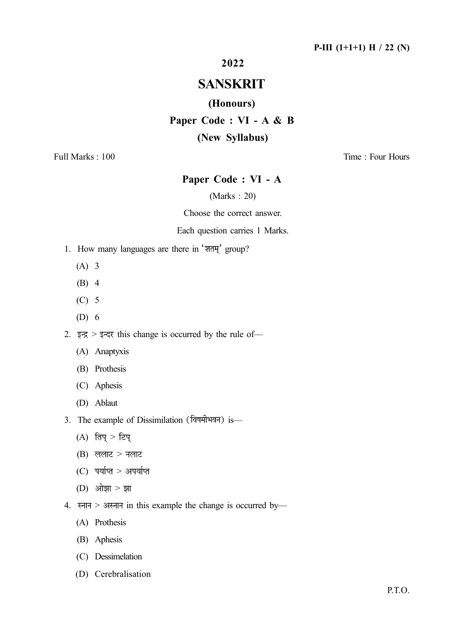## 2022

# SANSKRIT

### (Honours)

Paper Code : VI - A & B

## (New Syllabus)

Full Marks : 100 Time : Four Hours

## Paper Code : VI - A

### (Marks : 20)

Choose the correct answer.

#### Each question carries 1 Marks.

- 1. How many languages are there in 'शतम्' group?
	- (A) 3
	- (B) 4
	- (C) 5
	- (D) 6

2. इन्द्र > इन्दर this change is occurred by the rule of-

- (A) Anaptyxis
- (B) Prothesis
- (C) Aphesis
- (D) Ablaut
- 3. The example of Dissimilation (विषमीभवन) is-
	- (A) तिप् > टिप्
	- $(B)$  ललाट > नलाट
	- $(C)$  पर्याप्त > अपर्याप्त
	- (D) ओझा $>$  झा
- 4. स्नान > अस्नान in this example the change is occurred by-
	- (A) Prothesis
	- (B) Aphesis
	- (C) Dessimelation
	- (D) Cerebralisation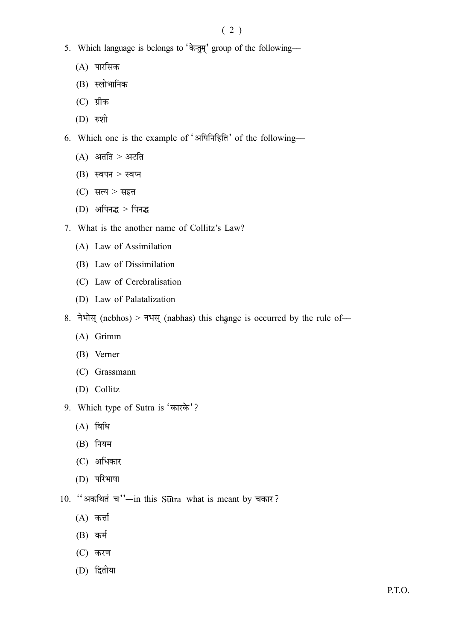- 5. Which language is belongs to  $\overleftrightarrow{\phi}$ ,  $\overleftrightarrow{\phi}$  group of the following—
	- (A)
	- (B) स्लोभानिक
	- (C)
	- (D)
- 6. Which one is the example of 'अपिनिहिति' of the following-
	- $(A)$  अतति > अटति
	- $(B)$  स्वपन > स्वप्न
	- $(C)$  सत्य > सइत्त
	- $(D)$  अपिनद्ध > पिनद्ध
- 7. What is the another name of Collitz's Law?
	- (A) Law of Assimilation
	- (B) Law of Dissimilation
	- (C) Law of Cerebralisation
	- (D) Law of Palatalization
- 8. नेभोस् (nebhos) > नभस् (nabhas) this change is occurred by the rule of—
	- (A) Grimm
	- (B) Verner
	- (C) Grassmann
	- (D) Collitz
- 9. Which type of Sutra is
	- $(A)$  विधि
	- (B)
	- (C)
	- (D)
- 10. "अकथितं च"-in this Sutra what is meant by चकार?
	- $(A)$  कर्त्ता
	- (B)
	- (C) करण
	- (D)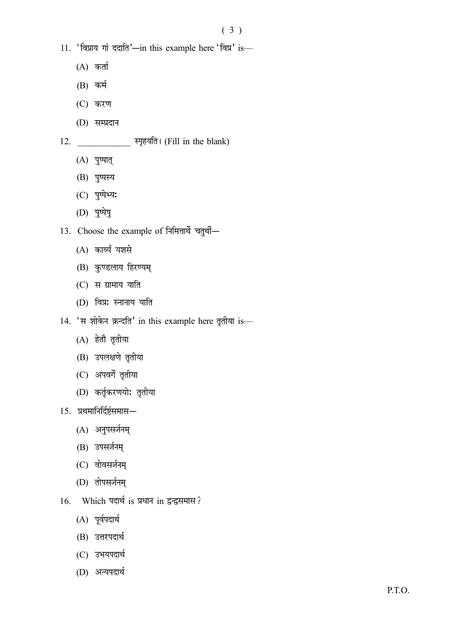- 11. 'विप्राय गां ददाति'-in this example here 'विप्र' is-
	- $(A)$  कर्ता
	- (B)
	- (C)
	- (D)

## 12. स्पृहयति। (Fill in the blank)

- (A) पुष्पात्
- (B)
- (C) पुष्पेभ्य:
- (D)
- 13. Choose the example of निमित्तार्थे चतुर्थी-
	- (A) कार्व्यं यशसे
	- (B) कुण्डलाय हिरण्यम्
	- $(C)$  स ग्रामाय याति
	- (D) विप्रः स्नानाय याति
- 14. 'स शोकेन क्रन्दति' in this example here तृतीया is-
	- (A) हेतौ तृतीया
	- (B) उपलक्षणे तृतीया
	- (C) अपवर्गे तृतीया
	- (D) कर्तृकरणयोः तृतीया
- 15.
	- (A)
	- (B) उपसर्जनम्
	- (C) वोवसर्जनम्
	- (D)
- 16. Which पदार्थ is प्रधान in द्वन्द्वसमास?
	- (A) पूर्वपदार्थ
	- (B) उत्तरपदार्थ
	- (C) उभयपदार्थ
	- (D)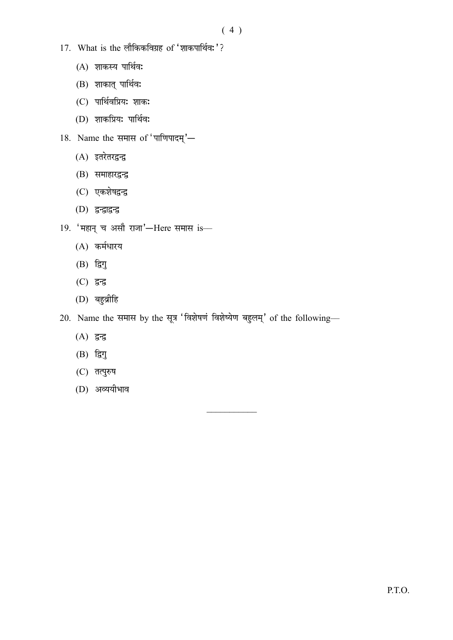- 17. What is the लौकिकविग्रह of 'शाकपार्थिवः'?
	- (A) शाकस्य पार्थिव:
	- (B) शाकात् पार्थिव:
	- (C) पार्थिवप्रियः शाकः
	- (D) शाकप्रियः पार्थिवः
- $18.$  Name the समास of 'पाणिपादम्'—
	- (A) इतरेतरद्वन्द्व
	- (B) समाहारद्वन्द्व
	- (C) एकशेषद्वन्द्व
	- (D)
- $19.$  'महान् च असौ राजा'-Here समास is-
	- (A)
	- (B)
	- (C)
	- (D)
- 20. Name the समास by the सूत्र 'विशेषणं विशेष्येण बहुलम्' of the following-
	- (A)
	- $(B)$  द्विगु
	- (C) तत्पुरुष
	- (D)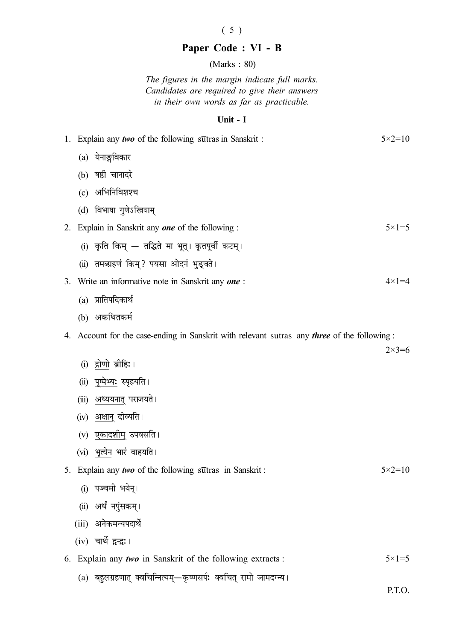## ( 5 )

# Paper Code : VI - B

(Marks : 80)

The figures in the margin indicate full marks. Candidates are required to give their answers in their own words as far as practicable.

### Unit - I

| 1. Explain any two of the following surfras in Sanskrit : |       |                                                                                                     | $5 \times 2 = 10$ |
|-----------------------------------------------------------|-------|-----------------------------------------------------------------------------------------------------|-------------------|
|                                                           |       | (a) येनाङ्गविकार                                                                                    |                   |
|                                                           |       | (b) षष्ठी चानादरे                                                                                   |                   |
|                                                           | (c)   | अभिनिविशश्च                                                                                         |                   |
|                                                           |       | (d) विभाषा गुणेऽस्त्रियाम्                                                                          |                   |
| 2.                                                        |       | Explain in Sanskrit any <b>one</b> of the following :                                               | $5 \times 1 = 5$  |
|                                                           |       | (i) कृति किम् — तद्धिते मा भूत्। कृतपूर्वी कटम्।                                                    |                   |
|                                                           |       | (ii) तमब्ग्रहणं किम्? पयसा ओदनं भुङ्क्ते।                                                           |                   |
| 3.                                                        |       | Write an informative note in Sanskrit any one:                                                      | $4 \times 1 = 4$  |
|                                                           |       | (a) प्रातिपदिकार्थ                                                                                  |                   |
|                                                           |       | (b) अकथितकर्म                                                                                       |                   |
|                                                           |       | 4. Account for the case-ending in Sanskrit with relevant surfras any <i>three</i> of the following: |                   |
|                                                           |       |                                                                                                     | $2 \times 3 = 6$  |
|                                                           | (i)   | द्रोणो ब्रीहिः ।                                                                                    |                   |
|                                                           | (ii)  | पूष्पेभ्यः स्पृहयति।                                                                                |                   |
|                                                           | (iii) | अध्ययनात् पराजयते ।                                                                                 |                   |
|                                                           | (iv)  | <u>अक्षान्</u> दीव्यति ।                                                                            |                   |
|                                                           | (v)   | एकादशीम् उपवसति ।                                                                                   |                   |
|                                                           |       | (vi) भृत्येन भारं वाहयति ।                                                                          |                   |
|                                                           |       | 5. Explain any two of the following sutras in Sanskrit:                                             | $5 \times 2 = 10$ |
|                                                           |       | (i) पञ्चमी भयेन्।                                                                                   |                   |
|                                                           | (ii)  | अर्धं नपुंसकम् ।                                                                                    |                   |
|                                                           |       | (iii) अनेकमन्यपदार्थे                                                                               |                   |
|                                                           |       | (iv) चार्थे द्वन्द्व:।                                                                              |                   |
| 6.                                                        |       | Explain any <i>two</i> in Sanskrit of the following extracts :                                      | $5 \times 1 = 5$  |
|                                                           | (a)   | बहुलग्रहणात् क्वचिन्नित्यम्—कृष्णसर्पः क्वचित् रामो जामदग्न्य ।                                     |                   |

P.T.O.